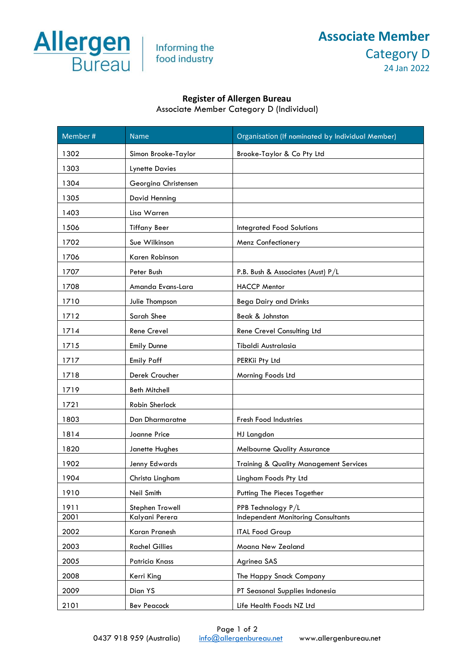

Informing the food industry

## **Associate Member**  Category D 24 Jan 2022

## **Register of Allergen Bureau**

Associate Member Category D (Individual)

| Member # | <b>Name</b>           | Organisation (If nominated by Individual Member)  |
|----------|-----------------------|---------------------------------------------------|
| 1302     | Simon Brooke-Taylor   | Brooke-Taylor & Co Pty Ltd                        |
| 1303     | <b>Lynette Davies</b> |                                                   |
| 1304     | Georgina Christensen  |                                                   |
| 1305     | David Henning         |                                                   |
| 1403     | Lisa Warren           |                                                   |
| 1506     | <b>Tiffany Beer</b>   | <b>Integrated Food Solutions</b>                  |
| 1702     | Sue Wilkinson         | Menz Confectionery                                |
| 1706     | Karen Robinson        |                                                   |
| 1707     | Peter Bush            | P.B. Bush & Associates (Aust) P/L                 |
| 1708     | Amanda Evans-Lara     | <b>HACCP Mentor</b>                               |
| 1710     | Julie Thompson        | <b>Bega Dairy and Drinks</b>                      |
| 1712     | Sarah Shee            | Beak & Johnston                                   |
| 1714     | Rene Crevel           | Rene Crevel Consulting Ltd                        |
| 1715     | Emily Dunne           | Tibaldi Australasia                               |
| 1717     | <b>Emily Paff</b>     | PERKii Pty Ltd                                    |
| 1718     | Derek Croucher        | Morning Foods Ltd                                 |
| 1719     | <b>Beth Mitchell</b>  |                                                   |
| 1721     | Robin Sherlock        |                                                   |
| 1803     | Dan Dharmaratne       | <b>Fresh Food Industries</b>                      |
| 1814     | Joanne Price          | HJ Langdon                                        |
| 1820     | Janette Hughes        | <b>Melbourne Quality Assurance</b>                |
| 1902     | Jenny Edwards         | <b>Training &amp; Quality Management Services</b> |
| 1904     | Christa Lingham       | Lingham Foods Pty Ltd                             |
| 1910     | Neil Smith            | Putting The Pieces Together                       |
| 1911     | Stephen Trowell       | PPB Technology P/L                                |
| 2001     | Kalyani Perera        | <b>Independent Monitoring Consultants</b>         |
| 2002     | Karan Pranesh         | <b>ITAL Food Group</b>                            |
| 2003     | <b>Rachel Gillies</b> | Moana New Zealand                                 |
| 2005     | Patricia Knass        | Agrinea SAS                                       |
| 2008     | Kerri King            | The Happy Snack Company                           |
| 2009     | Dian YS               | PT Seasonal Supplies Indonesia                    |
| 2101     | <b>Bev Peacock</b>    | Life Health Foods NZ Ltd                          |